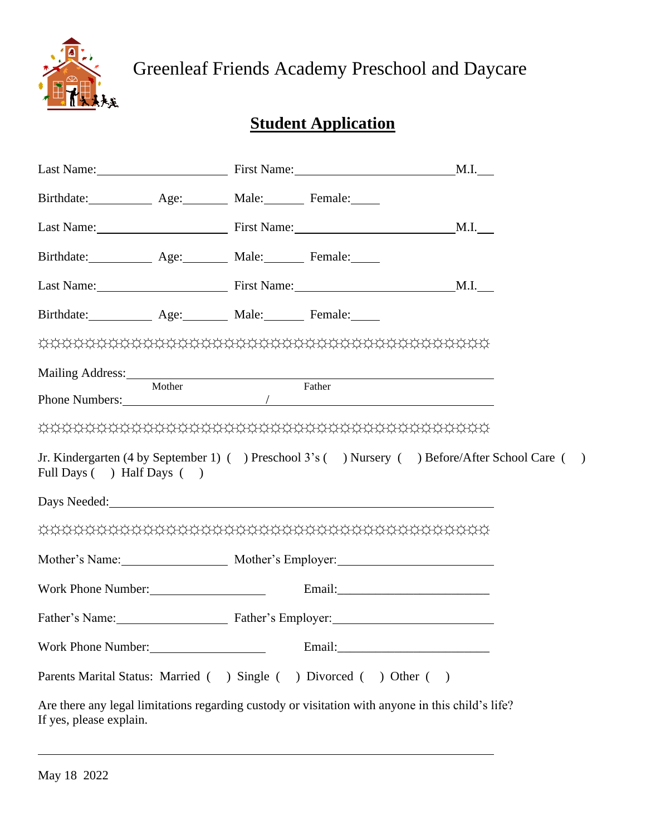

Greenleaf Friends Academy Preschool and Daycare

# **Student Application**

|                               |  | Last Name: First Name:                                                                            | M.I.                                                                                             |  |
|-------------------------------|--|---------------------------------------------------------------------------------------------------|--------------------------------------------------------------------------------------------------|--|
| Birthdate: Age: Male: Female: |  |                                                                                                   |                                                                                                  |  |
|                               |  | Last Name: M.I. Massenger M.I. M.I.                                                               |                                                                                                  |  |
| Birthdate: Age: Male: Female: |  |                                                                                                   |                                                                                                  |  |
|                               |  | Last Name: M.I. Massenger M.I.                                                                    |                                                                                                  |  |
| Birthdate: Age: Male: Female: |  |                                                                                                   |                                                                                                  |  |
|                               |  |                                                                                                   |                                                                                                  |  |
|                               |  | Mailing Address: Mother Father Father                                                             |                                                                                                  |  |
|                               |  |                                                                                                   |                                                                                                  |  |
|                               |  |                                                                                                   |                                                                                                  |  |
| Full Days ( ) Half Days ( )   |  |                                                                                                   | Jr. Kindergarten (4 by September 1) ( ) Preschool 3's ( ) Nursery ( ) Before/After School Care ( |  |
|                               |  | Days Needed: New York Changes Needed:                                                             |                                                                                                  |  |
|                               |  |                                                                                                   |                                                                                                  |  |
|                               |  | Mother's Name: Mother's Employer:                                                                 |                                                                                                  |  |
| Work Phone Number: 1988       |  |                                                                                                   |                                                                                                  |  |
|                               |  | Father's Name: Father's Employer:                                                                 |                                                                                                  |  |
| Work Phone Number:            |  |                                                                                                   |                                                                                                  |  |
|                               |  | Parents Marital Status: Married ( ) Single ( ) Divorced ( ) Other ( )                             |                                                                                                  |  |
| If yes, please explain.       |  | Are there any legal limitations regarding custody or visitation with anyone in this child's life? |                                                                                                  |  |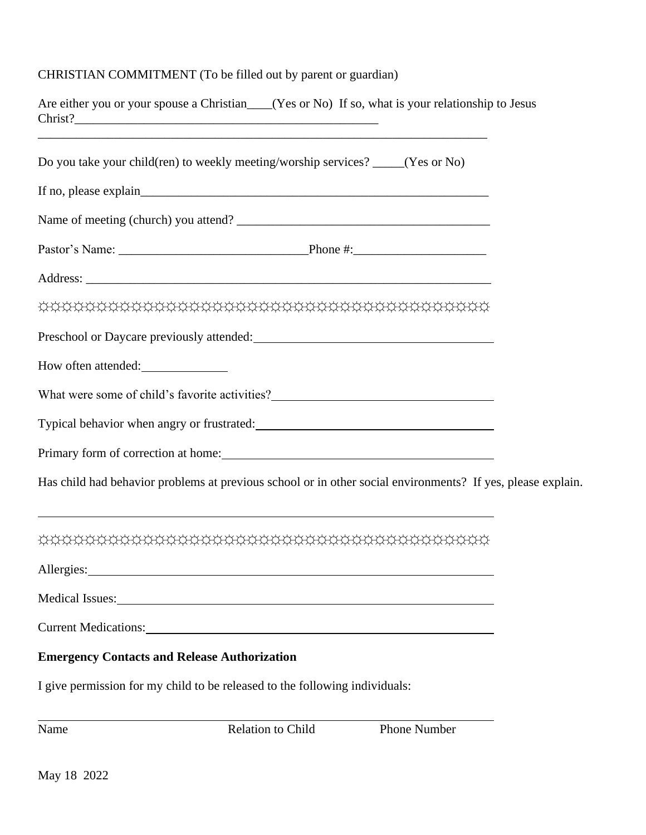## CHRISTIAN COMMITMENT (To be filled out by parent or guardian)

|                                                     | Are either you or your spouse a Christian___(Yes or No) If so, what is your relationship to Jesus                                                                                                                              |              |  |
|-----------------------------------------------------|--------------------------------------------------------------------------------------------------------------------------------------------------------------------------------------------------------------------------------|--------------|--|
|                                                     | Do you take your child(ren) to weekly meeting/worship services? ____(Yes or No)                                                                                                                                                |              |  |
|                                                     |                                                                                                                                                                                                                                |              |  |
|                                                     |                                                                                                                                                                                                                                |              |  |
|                                                     |                                                                                                                                                                                                                                |              |  |
|                                                     |                                                                                                                                                                                                                                |              |  |
|                                                     |                                                                                                                                                                                                                                |              |  |
|                                                     | Preschool or Daycare previously attended: New York Changes and September 2014                                                                                                                                                  |              |  |
| How often attended:                                 |                                                                                                                                                                                                                                |              |  |
|                                                     | What were some of child's favorite activities?<br><u>Letting</u> the some of child's favorite activities?                                                                                                                      |              |  |
|                                                     |                                                                                                                                                                                                                                |              |  |
|                                                     |                                                                                                                                                                                                                                |              |  |
|                                                     | Has child had behavior problems at previous school or in other social environments? If yes, please explain.                                                                                                                    |              |  |
|                                                     |                                                                                                                                                                                                                                |              |  |
| Allergies:                                          |                                                                                                                                                                                                                                |              |  |
|                                                     | Medical Issues: New York Contains a strategy of the state of the strategy of the strategy of the strategy of the strategy of the strategy of the strategy of the strategy of the strategy of the strategy of the strategy of t |              |  |
|                                                     |                                                                                                                                                                                                                                |              |  |
| <b>Emergency Contacts and Release Authorization</b> |                                                                                                                                                                                                                                |              |  |
|                                                     | I give permission for my child to be released to the following individuals:                                                                                                                                                    |              |  |
| Name                                                | Relation to Child                                                                                                                                                                                                              | Phone Number |  |